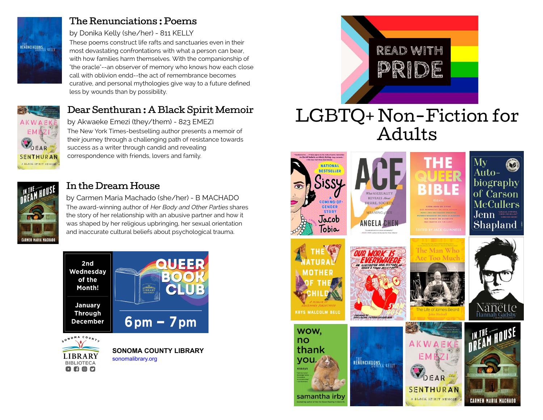

#### [The Renunciations : Poems](https://libraryaware.com/2HZAPW)

#### by Donika Kelly (she/her) - 811 KELLY

These poems construct life rafts and sanctuaries even in their most devastating confrontations with what a person can bear, with how families harm themselves. With the companionship of "the oracle"--an observer of memory who knows how each close call with oblivion endd--the act of remembrance becomes curative, and personal mythologies give way to a future defined less by wounds than by possibility.



## [Dear Senthuran : A Black Spirit Memoir](https://libraryaware.com/2HZAPX)

by Akwaeke Emezi (they/them) - 823 EMEZI The New York Times-bestselling author presents a memoir of their journey through a challenging path of resistance towards success as a writer through candid and revealing correspondence with friends, lovers and family.



#### [In the Dream House](https://libraryaware.com/2HZAPY)

by Carmen Maria Machado (she/her) - B MACHADO The award-winning author of Her Body and Other Parties shares the story of her relationship with an abusive partner and how it was shaped by her religious upbringing, her sexual orientation and inaccurate cultural beliefs about psychological trauma.





# LGBTQ+ Non-Fiction for Adults